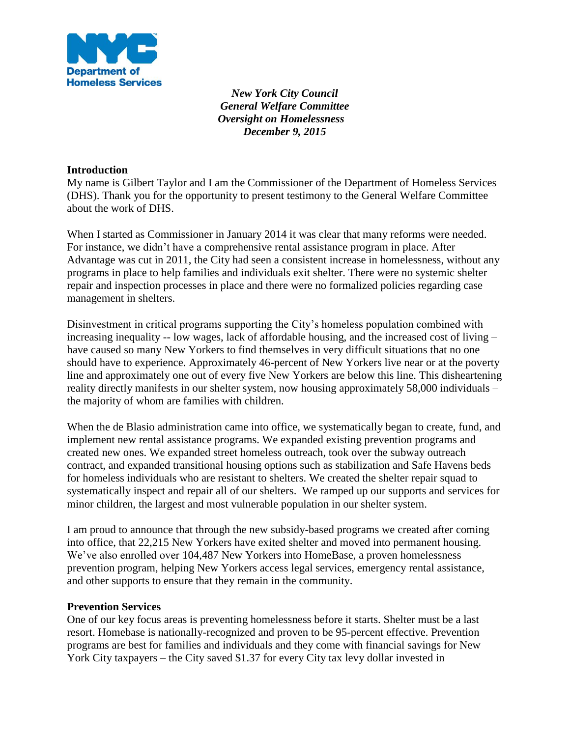

*New York City Council General Welfare Committee Oversight on Homelessness December 9, 2015*

## **Introduction**

My name is Gilbert Taylor and I am the Commissioner of the Department of Homeless Services (DHS). Thank you for the opportunity to present testimony to the General Welfare Committee about the work of DHS.

When I started as Commissioner in January 2014 it was clear that many reforms were needed. For instance, we didn't have a comprehensive rental assistance program in place. After Advantage was cut in 2011, the City had seen a consistent increase in homelessness, without any programs in place to help families and individuals exit shelter. There were no systemic shelter repair and inspection processes in place and there were no formalized policies regarding case management in shelters.

Disinvestment in critical programs supporting the City's homeless population combined with increasing inequality -- low wages, lack of affordable housing, and the increased cost of living – have caused so many New Yorkers to find themselves in very difficult situations that no one should have to experience. Approximately 46-percent of New Yorkers live near or at the poverty line and approximately one out of every five New Yorkers are below this line. This disheartening reality directly manifests in our shelter system, now housing approximately 58,000 individuals – the majority of whom are families with children.

When the de Blasio administration came into office, we systematically began to create, fund, and implement new rental assistance programs. We expanded existing prevention programs and created new ones. We expanded street homeless outreach, took over the subway outreach contract, and expanded transitional housing options such as stabilization and Safe Havens beds for homeless individuals who are resistant to shelters. We created the shelter repair squad to systematically inspect and repair all of our shelters. We ramped up our supports and services for minor children, the largest and most vulnerable population in our shelter system.

I am proud to announce that through the new subsidy-based programs we created after coming into office, that 22,215 New Yorkers have exited shelter and moved into permanent housing. We've also enrolled over 104,487 New Yorkers into HomeBase, a proven homelessness prevention program, helping New Yorkers access legal services, emergency rental assistance, and other supports to ensure that they remain in the community.

# **Prevention Services**

One of our key focus areas is preventing homelessness before it starts. Shelter must be a last resort. Homebase is nationally-recognized and proven to be 95-percent effective. Prevention programs are best for families and individuals and they come with financial savings for New York City taxpayers – the City saved \$1.37 for every City tax levy dollar invested in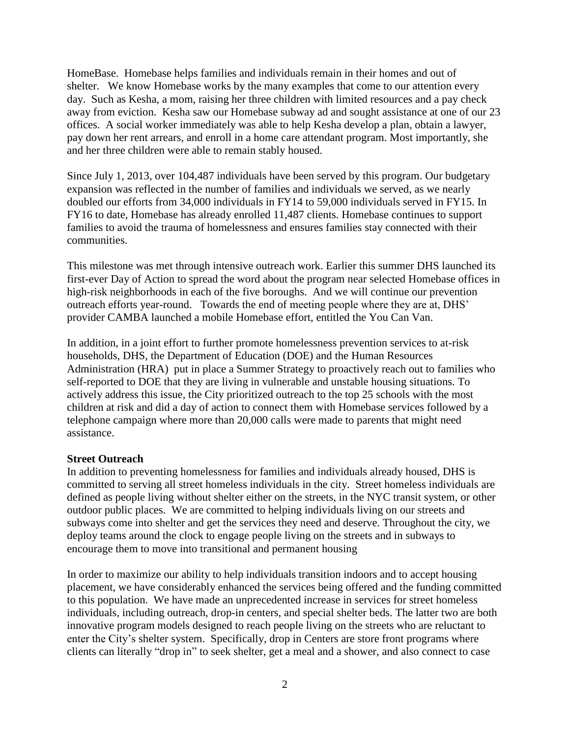HomeBase. Homebase helps families and individuals remain in their homes and out of shelter. We know Homebase works by the many examples that come to our attention every day. Such as Kesha, a mom, raising her three children with limited resources and a pay check away from eviction. Kesha saw our Homebase subway ad and sought assistance at one of our 23 offices. A social worker immediately was able to help Kesha develop a plan, obtain a lawyer, pay down her rent arrears, and enroll in a home care attendant program. Most importantly, she and her three children were able to remain stably housed.

Since July 1, 2013, over 104,487 individuals have been served by this program. Our budgetary expansion was reflected in the number of families and individuals we served, as we nearly doubled our efforts from 34,000 individuals in FY14 to 59,000 individuals served in FY15. In FY16 to date, Homebase has already enrolled 11,487 clients. Homebase continues to support families to avoid the trauma of homelessness and ensures families stay connected with their communities.

This milestone was met through intensive outreach work. Earlier this summer DHS launched its first-ever Day of Action to spread the word about the program near selected Homebase offices in high-risk neighborhoods in each of the five boroughs. And we will continue our prevention outreach efforts year-round. Towards the end of meeting people where they are at, DHS' provider CAMBA launched a mobile Homebase effort, entitled the You Can Van.

In addition, in a joint effort to further promote homelessness prevention services to at-risk households, DHS, the Department of Education (DOE) and the Human Resources Administration (HRA) put in place a Summer Strategy to proactively reach out to families who self-reported to DOE that they are living in vulnerable and unstable housing situations. To actively address this issue, the City prioritized outreach to the top 25 schools with the most children at risk and did a day of action to connect them with Homebase services followed by a telephone campaign where more than 20,000 calls were made to parents that might need assistance.

# **Street Outreach**

In addition to preventing homelessness for families and individuals already housed, DHS is committed to serving all street homeless individuals in the city. Street homeless individuals are defined as people living without shelter either on the streets, in the NYC transit system, or other outdoor public places. We are committed to helping individuals living on our streets and subways come into shelter and get the services they need and deserve. Throughout the city, we deploy teams around the clock to engage people living on the streets and in subways to encourage them to move into transitional and permanent housing

In order to maximize our ability to help individuals transition indoors and to accept housing placement, we have considerably enhanced the services being offered and the funding committed to this population. We have made an unprecedented increase in services for street homeless individuals, including outreach, drop-in centers, and special shelter beds. The latter two are both innovative program models designed to reach people living on the streets who are reluctant to enter the City's shelter system. Specifically, drop in Centers are store front programs where clients can literally "drop in" to seek shelter, get a meal and a shower, and also connect to case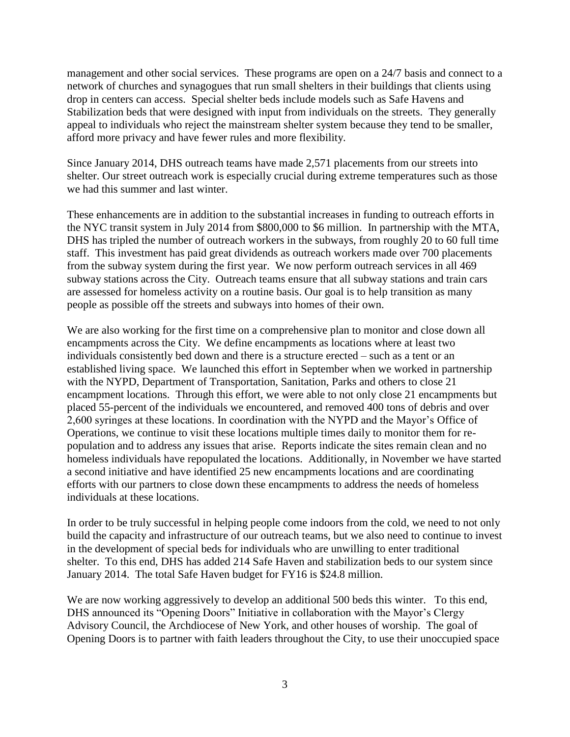management and other social services. These programs are open on a 24/7 basis and connect to a network of churches and synagogues that run small shelters in their buildings that clients using drop in centers can access. Special shelter beds include models such as Safe Havens and Stabilization beds that were designed with input from individuals on the streets. They generally appeal to individuals who reject the mainstream shelter system because they tend to be smaller, afford more privacy and have fewer rules and more flexibility.

Since January 2014, DHS outreach teams have made 2,571 placements from our streets into shelter. Our street outreach work is especially crucial during extreme temperatures such as those we had this summer and last winter.

These enhancements are in addition to the substantial increases in funding to outreach efforts in the NYC transit system in July 2014 from \$800,000 to \$6 million. In partnership with the MTA, DHS has tripled the number of outreach workers in the subways, from roughly 20 to 60 full time staff. This investment has paid great dividends as outreach workers made over 700 placements from the subway system during the first year. We now perform outreach services in all 469 subway stations across the City. Outreach teams ensure that all subway stations and train cars are assessed for homeless activity on a routine basis. Our goal is to help transition as many people as possible off the streets and subways into homes of their own.

We are also working for the first time on a comprehensive plan to monitor and close down all encampments across the City. We define encampments as locations where at least two individuals consistently bed down and there is a structure erected – such as a tent or an established living space. We launched this effort in September when we worked in partnership with the NYPD, Department of Transportation, Sanitation, Parks and others to close 21 encampment locations. Through this effort, we were able to not only close 21 encampments but placed 55-percent of the individuals we encountered, and removed 400 tons of debris and over 2,600 syringes at these locations. In coordination with the NYPD and the Mayor's Office of Operations, we continue to visit these locations multiple times daily to monitor them for repopulation and to address any issues that arise. Reports indicate the sites remain clean and no homeless individuals have repopulated the locations. Additionally, in November we have started a second initiative and have identified 25 new encampments locations and are coordinating efforts with our partners to close down these encampments to address the needs of homeless individuals at these locations.

In order to be truly successful in helping people come indoors from the cold, we need to not only build the capacity and infrastructure of our outreach teams, but we also need to continue to invest in the development of special beds for individuals who are unwilling to enter traditional shelter. To this end, DHS has added 214 Safe Haven and stabilization beds to our system since January 2014. The total Safe Haven budget for FY16 is \$24.8 million.

We are now working aggressively to develop an additional 500 beds this winter. To this end, DHS announced its "Opening Doors" Initiative in collaboration with the Mayor's Clergy Advisory Council, the Archdiocese of New York, and other houses of worship. The goal of Opening Doors is to partner with faith leaders throughout the City, to use their unoccupied space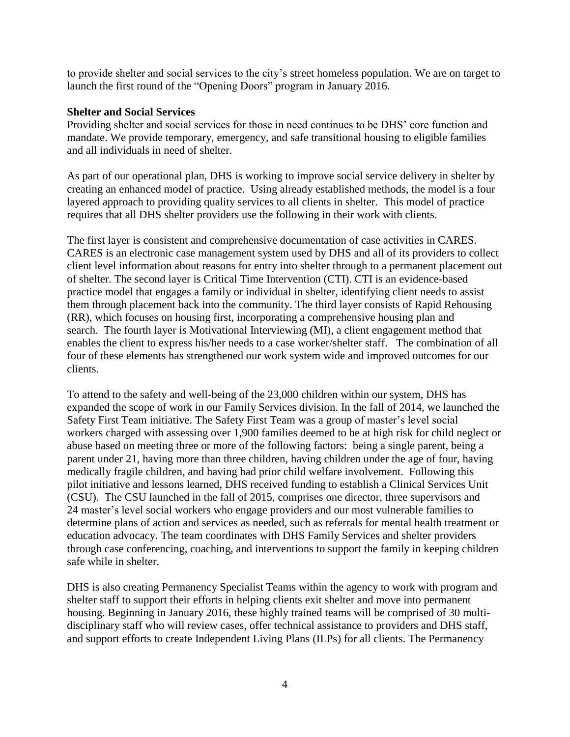to provide shelter and social services to the city's street homeless population. We are on target to launch the first round of the "Opening Doors" program in January 2016.

## **Shelter and Social Services**

Providing shelter and social services for those in need continues to be DHS' core function and mandate. We provide temporary, emergency, and safe transitional housing to eligible families and all individuals in need of shelter.

As part of our operational plan, DHS is working to improve social service delivery in shelter by creating an enhanced model of practice. Using already established methods, the model is a four layered approach to providing quality services to all clients in shelter. This model of practice requires that all DHS shelter providers use the following in their work with clients.

The first layer is consistent and comprehensive documentation of case activities in CARES. CARES is an electronic case management system used by DHS and all of its providers to collect client level information about reasons for entry into shelter through to a permanent placement out of shelter. The second layer is Critical Time Intervention (CTI). CTI is an evidence-based practice model that engages a family or individual in shelter, identifying client needs to assist them through placement back into the community. The third layer consists of Rapid Rehousing (RR), which focuses on housing first, incorporating a comprehensive housing plan and search. The fourth layer is Motivational Interviewing (MI), a client engagement method that enables the client to express his/her needs to a case worker/shelter staff. The combination of all four of these elements has strengthened our work system wide and improved outcomes for our clients.

To attend to the safety and well-being of the 23,000 children within our system, DHS has expanded the scope of work in our Family Services division. In the fall of 2014, we launched the Safety First Team initiative. The Safety First Team was a group of master's level social workers charged with assessing over 1,900 families deemed to be at high risk for child neglect or abuse based on meeting three or more of the following factors: being a single parent, being a parent under 21, having more than three children, having children under the age of four, having medically fragile children, and having had prior child welfare involvement. Following this pilot initiative and lessons learned, DHS received funding to establish a Clinical Services Unit (CSU). The CSU launched in the fall of 2015, comprises one director, three supervisors and 24 master's level social workers who engage providers and our most vulnerable families to determine plans of action and services as needed, such as referrals for mental health treatment or education advocacy. The team coordinates with DHS Family Services and shelter providers through case conferencing, coaching, and interventions to support the family in keeping children safe while in shelter.

DHS is also creating Permanency Specialist Teams within the agency to work with program and shelter staff to support their efforts in helping clients exit shelter and move into permanent housing. Beginning in January 2016, these highly trained teams will be comprised of 30 multidisciplinary staff who will review cases, offer technical assistance to providers and DHS staff, and support efforts to create Independent Living Plans (ILPs) for all clients. The Permanency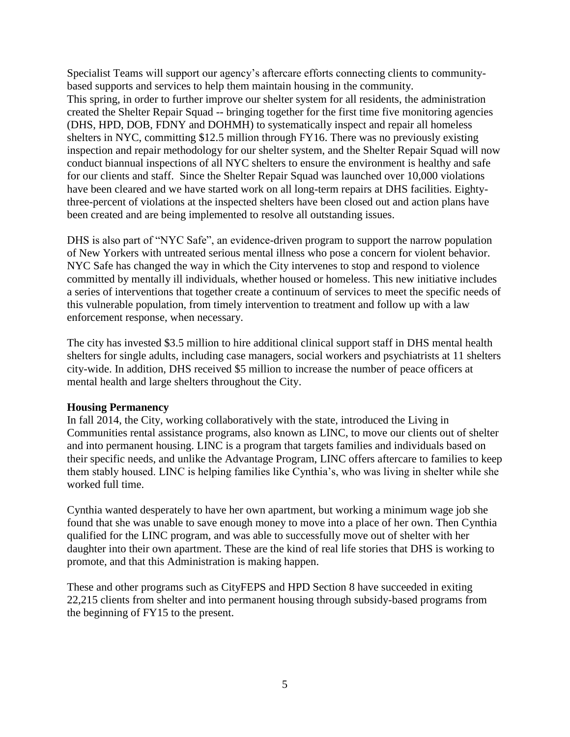Specialist Teams will support our agency's aftercare efforts connecting clients to communitybased supports and services to help them maintain housing in the community.

This spring, in order to further improve our shelter system for all residents, the administration created the Shelter Repair Squad -- bringing together for the first time five monitoring agencies (DHS, HPD, DOB, FDNY and DOHMH) to systematically inspect and repair all homeless shelters in NYC, committing \$12.5 million through FY16. There was no previously existing inspection and repair methodology for our shelter system, and the Shelter Repair Squad will now conduct biannual inspections of all NYC shelters to ensure the environment is healthy and safe for our clients and staff. Since the Shelter Repair Squad was launched over 10,000 violations have been cleared and we have started work on all long-term repairs at DHS facilities. Eightythree-percent of violations at the inspected shelters have been closed out and action plans have been created and are being implemented to resolve all outstanding issues.

DHS is also part of "NYC Safe", an evidence-driven program to support the narrow population of New Yorkers with untreated serious mental illness who pose a concern for violent behavior. NYC Safe has changed the way in which the City intervenes to stop and respond to violence committed by mentally ill individuals, whether housed or homeless. This new initiative includes a series of interventions that together create a continuum of services to meet the specific needs of this vulnerable population, from timely intervention to treatment and follow up with a law enforcement response, when necessary.

The city has invested \$3.5 million to hire additional clinical support staff in DHS mental health shelters for single adults, including case managers, social workers and psychiatrists at 11 shelters city-wide. In addition, DHS received \$5 million to increase the number of peace officers at mental health and large shelters throughout the City.

# **Housing Permanency**

In fall 2014, the City, working collaboratively with the state, introduced the Living in Communities rental assistance programs, also known as LINC, to move our clients out of shelter and into permanent housing. LINC is a program that targets families and individuals based on their specific needs, and unlike the Advantage Program, LINC offers aftercare to families to keep them stably housed. LINC is helping families like Cynthia's, who was living in shelter while she worked full time.

Cynthia wanted desperately to have her own apartment, but working a minimum wage job she found that she was unable to save enough money to move into a place of her own. Then Cynthia qualified for the LINC program, and was able to successfully move out of shelter with her daughter into their own apartment. These are the kind of real life stories that DHS is working to promote, and that this Administration is making happen.

These and other programs such as CityFEPS and HPD Section 8 have succeeded in exiting 22,215 clients from shelter and into permanent housing through subsidy-based programs from the beginning of FY15 to the present.